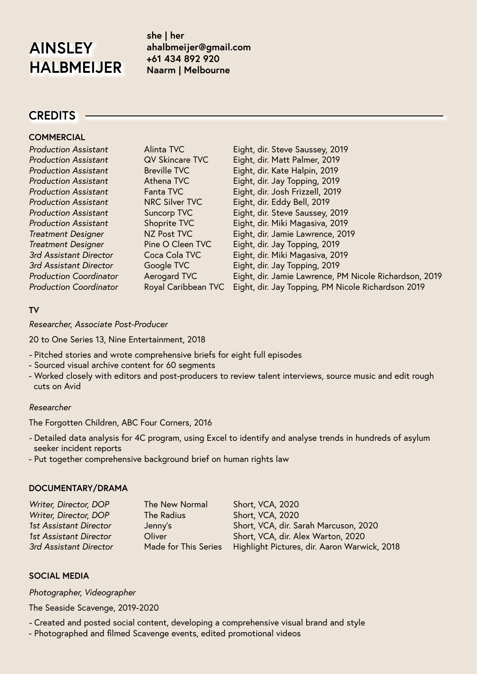# **AINSLEY HALBMEIJER**

**she | her ahalbmeijer@gmail.com +61 434 892 920 Naarm | Melbourne** 

## **CREDITS**

#### **COMMERCIAL**

| <b>Production Assistant</b>   | <b>Alinta TVC</b>      | Eight, dir. Steve Saussey, 2019                        |
|-------------------------------|------------------------|--------------------------------------------------------|
| <b>Production Assistant</b>   | <b>QV Skincare TVC</b> | Eight, dir. Matt Palmer, 2019                          |
| <b>Production Assistant</b>   | <b>Breville TVC</b>    | Eight, dir. Kate Halpin, 2019                          |
| <b>Production Assistant</b>   | Athena TVC             | Eight, dir. Jay Topping, 2019                          |
| <b>Production Assistant</b>   | Fanta TVC              | Eight, dir. Josh Frizzell, 2019                        |
| <b>Production Assistant</b>   | <b>NRC Silver TVC</b>  | Eight, dir. Eddy Bell, 2019                            |
| <b>Production Assistant</b>   | Suncorp TVC            | Eight, dir. Steve Saussey, 2019                        |
| <b>Production Assistant</b>   | Shoprite TVC           | Eight, dir. Miki Magasiva, 2019                        |
| <b>Treatment Designer</b>     | NZ Post TVC            | Eight, dir. Jamie Lawrence, 2019                       |
| <b>Treatment Designer</b>     | Pine O Cleen TVC       | Eight, dir. Jay Topping, 2019                          |
| 3rd Assistant Director        | Coca Cola TVC          | Eight, dir. Miki Magasiva, 2019                        |
| 3rd Assistant Director        | Google TVC             | Eight, dir. Jay Topping, 2019                          |
| <b>Production Coordinator</b> | Aerogard TVC           | Eight, dir. Jamie Lawrence, PM Nicole Richardson, 2019 |
| <b>Production Coordinator</b> | Royal Caribbean TVC    | Eight, dir. Jay Topping, PM Nicole Richardson 2019     |
|                               |                        |                                                        |

#### **TV**

*Researcher, Associate Post-Producer* 

20 to One Series 13, Nine Entertainment, 2018

- Pitched stories and wrote comprehensive briefs for eight full episodes
- Sourced visual archive content for 60 segments
- Worked closely with editors and post-producers to review talent interviews, source music and edit rough cuts on Avid

#### *Researcher*

The Forgotten Children, ABC Four Corners, 2016

- Detailed data analysis for 4C program, using Excel to identify and analyse trends in hundreds of asylum seeker incident reports
- Put together comprehensive background brief on human rights law

#### **DOCUMENTARY/DRAMA**

| Writer, Director, DOP  | The New Normal       | Short, VCA, 2020                             |
|------------------------|----------------------|----------------------------------------------|
| Writer, Director, DOP  | The Radius           | Short, VCA, 2020                             |
| 1st Assistant Director | Jenny's              | Short, VCA, dir. Sarah Marcuson, 2020        |
| 1st Assistant Director | Oliver               | Short, VCA, dir. Alex Warton, 2020           |
| 3rd Assistant Director | Made for This Series | Highlight Pictures, dir. Aaron Warwick, 2018 |

#### **SOCIAL MEDIA**

*Photographer, Videographer*

The Seaside Scavenge, 2019-2020

- Created and posted social content, developing a comprehensive visual brand and style
- Photographed and filmed Scavenge events, edited promotional videos